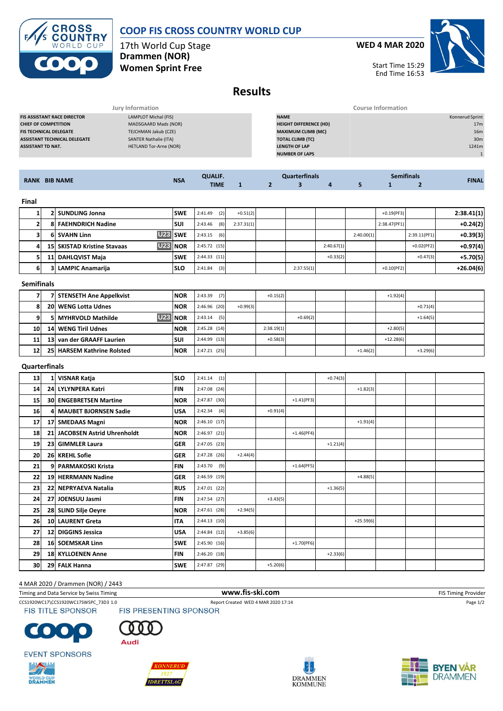## **COOP FIS CROSS COUNTRY WORLD CUP**



17th World Cup Stage **Drammen (NOR) Women Sprint Free**

**WED 4 MAR 2020**



Start Time 15:29 End Time 16:53

# **Results**

|                                     | Jury Information              | <b>Course Information</b>     |                 |  |  |  |  |
|-------------------------------------|-------------------------------|-------------------------------|-----------------|--|--|--|--|
| <b>FIS ASSISTANT RACE DIRECTOR</b>  | LAMPLOT Michal (FIS)          | <b>NAME</b>                   | Konnerud Sprint |  |  |  |  |
| <b>CHIEF OF COMPETITION</b>         | MADSGAARD Mads (NOR)          | <b>HEIGHT DIFFERENCE (HD)</b> | 17 <sub>m</sub> |  |  |  |  |
| <b>FIS TECHNICAL DELEGATE</b>       | TEJCHMAN Jakub (CZE)          | <b>MAXIMUM CLIMB (MC)</b>     | 16 <sub>m</sub> |  |  |  |  |
| <b>ASSISTANT TECHNICAL DELEGATE</b> | SANTER Nathalie (ITA)         | <b>TOTAL CLIMB (TC)</b>       | 30 <sub>m</sub> |  |  |  |  |
| <b>ASSISTANT TD NAT.</b>            | <b>HETLAND Tor-Arne (NOR)</b> | <b>LENGTH OF LAP</b>          | 1241m           |  |  |  |  |
|                                     |                               | <b>NUMBER OF LAPS</b>         |                 |  |  |  |  |
|                                     |                               |                               |                 |  |  |  |  |

|                      |                  |            | <b>QUALIF.</b> |                | <b>Quarterfinals</b> |  |  |  | <b>Semifinals</b> | <b>FINAL</b>  |  |            |
|----------------------|------------------|------------|----------------|----------------|----------------------|--|--|--|-------------------|---------------|--|------------|
| <b>RANK BIB NAME</b> |                  | <b>NSA</b> | <b>TIME</b>    |                |                      |  |  |  |                   |               |  |            |
|                      |                  |            |                |                |                      |  |  |  |                   |               |  |            |
| <b>Final</b>         |                  |            |                |                |                      |  |  |  |                   |               |  |            |
|                      | 2 SUNDLING Jonna |            | <b>SWE</b>     | (2)<br>2:41.49 | $+0.51(2)$           |  |  |  |                   | $+0.19$ (PF3) |  | 2:38.41(1) |
|                      |                  |            |                |                |                      |  |  |  |                   |               |  |            |

|    | 21 JUNULINU JUNICI                 | . <u>.</u> | $\sim$         | .0.01121   |            |            |            | $10.13$ $(1.31)$ |               | $1.30 - 111$ |
|----|------------------------------------|------------|----------------|------------|------------|------------|------------|------------------|---------------|--------------|
| 21 | <b>8 FAEHNDRICH Nadine</b>         | <b>SUI</b> | (8)<br>2:43.46 | 2:37.31(1) |            |            |            | 2:38.47(PF1)     |               | $+0.24(2)$   |
| 31 | 6 SVAHN Linn                       | U23 SWE    | (6)<br>2:43.15 |            |            |            | 2:40.00(1) |                  | 2:39.11(PF1)  | $+0.39(3)$   |
| 41 | <b>15 SKISTAD Kristine Stavaas</b> | U23 NOR    | 2:45.72(15)    |            |            | 2:40.67(1) |            |                  | $+0.02$ (PF2) | $+0.97(4)$   |
| 51 | 11 DAHLQVIST Maja                  | <b>SWE</b> | 2:44.33(11)    |            |            | $+0.33(2)$ |            |                  | $+0.47(3)$    | $+5.70(5)$   |
| 61 | 3 LAMPIC Anamariia                 | <b>SLO</b> | (3)<br>2:41.84 |            | 2:37.55(1) |            |            | $+0.10$ (PF2)    |               | $+26.04(6)$  |

|           |  | 7 STENSETH Ane Appelkvist      | <b>NOR</b> | 2:43.39<br>(7) |            | $+0.15(2)$ |            |  |            | $+1.92(4)$  |            |  |
|-----------|--|--------------------------------|------------|----------------|------------|------------|------------|--|------------|-------------|------------|--|
|           |  | 20 WENG Lotta Udnes            | <b>NOR</b> | $2:46.96$ (20) | $+0.99(3)$ |            |            |  |            |             | $+0.71(4)$ |  |
| ົ         |  | U23 NOR<br>5 MYHRVOLD Mathilde |            | 2:43.14<br>(5) |            |            | $+0.69(2)$ |  |            |             | $+1.64(5)$ |  |
| <b>10</b> |  | <b>14 WENG Tiril Udnes</b>     | <b>NOR</b> | 2:45.28(14)    |            | 2:38.19(1) |            |  |            | $+2.80(5)$  |            |  |
| 11        |  | 13 van der GRAAFF Laurien      | <b>SUI</b> | $2:44.99$ (13) |            | $+0.58(3)$ |            |  |            | $+12.28(6)$ |            |  |
| 12        |  | 25 HARSEM Kathrine Rolsted     | <b>NOR</b> | $2:47.21$ (25) |            |            |            |  | $+1.46(2)$ |             | $+3.29(6)$ |  |

#### **Quarterfinals**

| 13 | L VISNAR Katja                | <b>SLO</b> | 2:41.14<br>(1) |            |            |              | $+0.74(3)$ |             |  |  |
|----|-------------------------------|------------|----------------|------------|------------|--------------|------------|-------------|--|--|
| 14 | 24 LYLYNPERA Katri            | <b>FIN</b> | 2:47.08 (24)   |            |            |              |            | $+1.82(3)$  |  |  |
| 15 | <b>30 ENGEBRETSEN Martine</b> | <b>NOR</b> | 2:47.87 (30)   |            |            | $+1.41(PF3)$ |            |             |  |  |
| 16 | 4 MAUBET BJORNSEN Sadie       | <b>USA</b> | 2:42.34<br>(4) |            | $+0.91(4)$ |              |            |             |  |  |
| 17 | 17 SMEDAAS Magni              | <b>NOR</b> | 2:46.10(17)    |            |            |              |            | $+1.91(4)$  |  |  |
| 18 | 21 JACOBSEN Astrid Uhrenholdt | <b>NOR</b> | 2:46.97 (21)   |            |            | $+1.46(PF4)$ |            |             |  |  |
| 19 | 23 GIMMLER Laura              | <b>GER</b> | 2:47.05 (23)   |            |            |              | $+1.21(4)$ |             |  |  |
| 20 | 26 KREHL Sofie                | <b>GER</b> | 2:47.28 (26)   | $+2.44(4)$ |            |              |            |             |  |  |
| 21 | 9 PARMAKOSKI Krista           | <b>FIN</b> | $2:43.70$ (9)  |            |            | $+1.64(PF5)$ |            |             |  |  |
| 22 | 19 HERRMANN Nadine            | <b>GER</b> | 2:46.59 (19)   |            |            |              |            | $+4.88(5)$  |  |  |
| 23 | 22 NEPRYAEVA Natalia          | <b>RUS</b> | 2:47.01 (22)   |            |            |              | $+1.36(5)$ |             |  |  |
| 24 | 27 JOENSUU Jasmi              | <b>FIN</b> | $2:47.54$ (27) |            | $+3.43(5)$ |              |            |             |  |  |
| 25 | 28 SLIND Silje Oeyre          | <b>NOR</b> | $2:47.61$ (28) | $+2.94(5)$ |            |              |            |             |  |  |
| 26 | 10 LAURENT Greta              | <b>ITA</b> | 2:44.13(10)    |            |            |              |            | $+25.59(6)$ |  |  |
| 27 | 12 DIGGINS Jessica            | <b>USA</b> | 2:44.84 (12)   | $+3.85(6)$ |            |              |            |             |  |  |
| 28 | 16 SOEMSKAR Linn              | <b>SWE</b> | 2:45.90 (16)   |            |            | $+1.70(PF6)$ |            |             |  |  |
| 29 | <b>18 KYLLOENEN Anne</b>      | <b>FIN</b> | 2:46.20 (18)   |            |            |              | $+2.33(6)$ |             |  |  |
| 30 | 29 FALK Hanna                 | <b>SWE</b> | 2:47.87 (29)   |            | $+5.20(6)$ |              |            |             |  |  |

#### 4 MAR 2020 / Drammen (NOR) / 2443

Timing and Data Service by Swiss Timing **WWW.fis-Ski.com WWW.fis-Ski.com** FIS Timing Provider



CCS1920WC17\CCS1920WC17SWSPC\_73D3 1.0 Report Created WED 4 MAR 2020 17:14 Page 1/2 Page 1/2<br>
FIS TITLE SPONSOR FIS PRESENTING SPONSOR

 $\bullet$  .  $\bullet$  $\blacksquare$